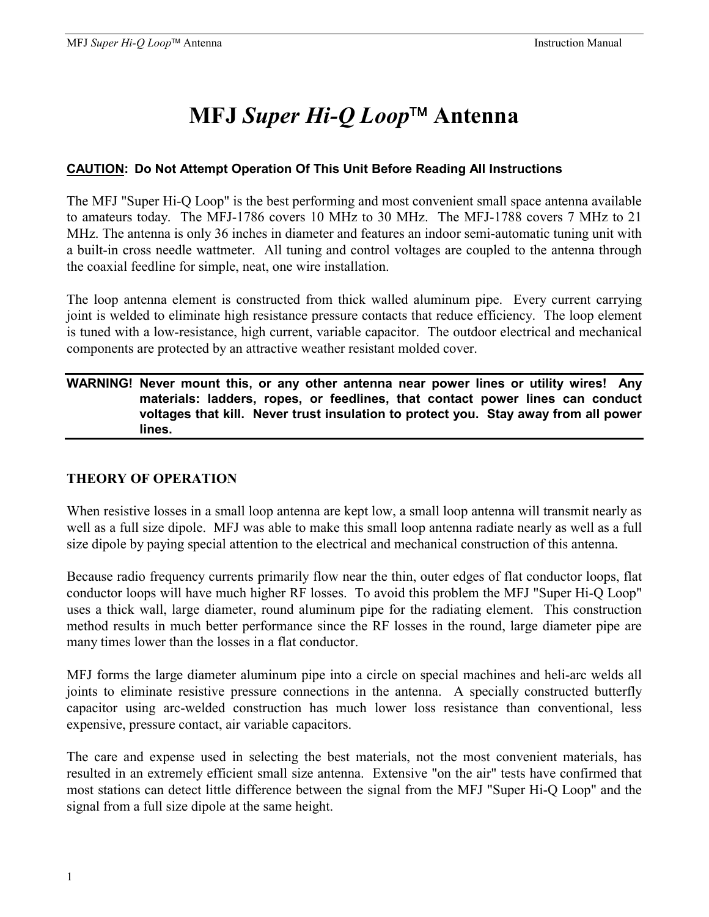# **MFJ** *Super Hi-Q Loop* **Antenna**

# **CAUTION: Do Not Attempt Operation Of This Unit Before Reading All Instructions**

The MFJ "Super Hi-Q Loop" is the best performing and most convenient small space antenna available to amateurs today. The MFJ-1786 covers 10 MHz to 30 MHz. The MFJ-1788 covers 7 MHz to 21 MHz. The antenna is only 36 inches in diameter and features an indoor semi-automatic tuning unit with a built-in cross needle wattmeter. All tuning and control voltages are coupled to the antenna through the coaxial feedline for simple, neat, one wire installation.

The loop antenna element is constructed from thick walled aluminum pipe. Every current carrying joint is welded to eliminate high resistance pressure contacts that reduce efficiency. The loop element is tuned with a low-resistance, high current, variable capacitor. The outdoor electrical and mechanical components are protected by an attractive weather resistant molded cover.

#### **WARNING! Never mount this, or any other antenna near power lines or utility wires! Any materials: ladders, ropes, or feedlines, that contact power lines can conduct voltages that kill. Never trust insulation to protect you. Stay away from all power lines.**

### **THEORY OF OPERATION**

When resistive losses in a small loop antenna are kept low, a small loop antenna will transmit nearly as well as a full size dipole. MFJ was able to make this small loop antenna radiate nearly as well as a full size dipole by paying special attention to the electrical and mechanical construction of this antenna.

Because radio frequency currents primarily flow near the thin, outer edges of flat conductor loops, flat conductor loops will have much higher RF losses. To avoid this problem the MFJ "Super Hi-Q Loop" uses a thick wall, large diameter, round aluminum pipe for the radiating element. This construction method results in much better performance since the RF losses in the round, large diameter pipe are many times lower than the losses in a flat conductor.

MFJ forms the large diameter aluminum pipe into a circle on special machines and heli-arc welds all joints to eliminate resistive pressure connections in the antenna. A specially constructed butterfly capacitor using arc-welded construction has much lower loss resistance than conventional, less expensive, pressure contact, air variable capacitors.

The care and expense used in selecting the best materials, not the most convenient materials, has resulted in an extremely efficient small size antenna. Extensive "on the air" tests have confirmed that most stations can detect little difference between the signal from the MFJ "Super Hi-Q Loop" and the signal from a full size dipole at the same height.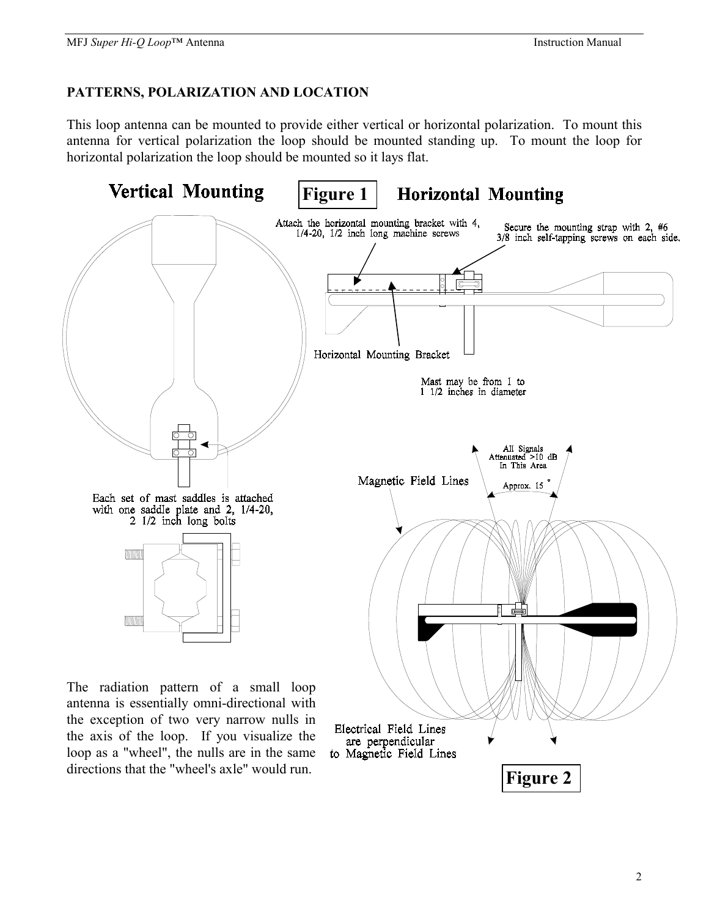#### **PATTERNS, POLARIZATION AND LOCATION**

directions that the "wheel's axle" would run.

This loop antenna can be mounted to provide either vertical or horizontal polarization. To mount this antenna for vertical polarization the loop should be mounted standing up. To mount the loop for horizontal polarization the loop should be mounted so it lays flat.



2

**Figure 2**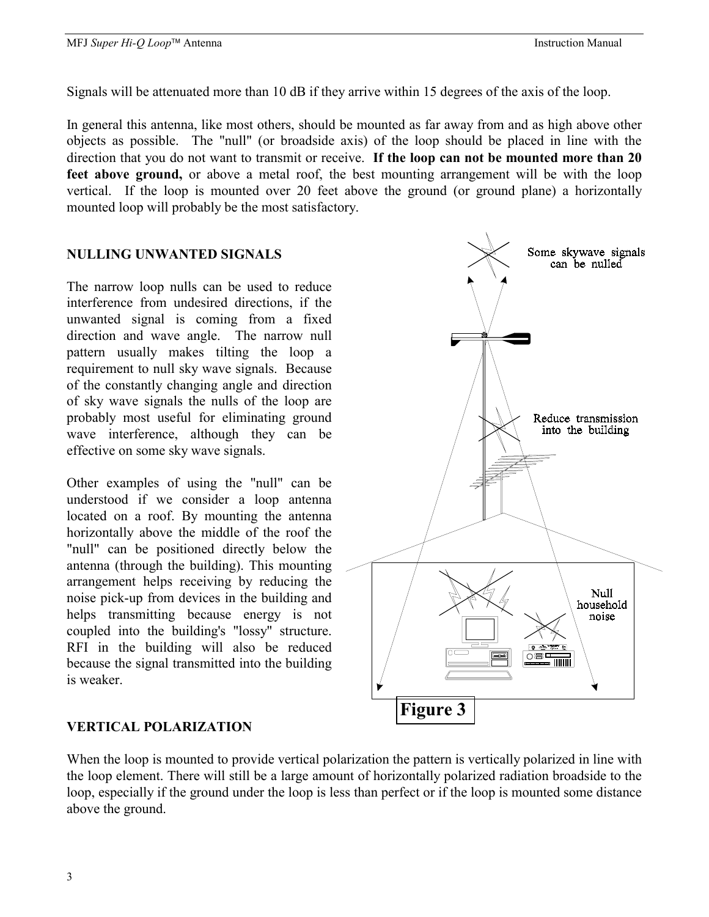Some skywave signals can be nulled

Signals will be attenuated more than 10 dB if they arrive within 15 degrees of the axis of the loop.

In general this antenna, like most others, should be mounted as far away from and as high above other objects as possible. The "null" (or broadside axis) of the loop should be placed in line with the direction that you do not want to transmit or receive. **If the loop can not be mounted more than 20 feet above ground,** or above a metal roof, the best mounting arrangement will be with the loop vertical. If the loop is mounted over 20 feet above the ground (or ground plane) a horizontally mounted loop will probably be the most satisfactory.

#### **NULLING UNWANTED SIGNALS**

The narrow loop nulls can be used to reduce interference from undesired directions, if the unwanted signal is coming from a fixed direction and wave angle. The narrow null pattern usually makes tilting the loop a requirement to null sky wave signals. Because of the constantly changing angle and direction of sky wave signals the nulls of the loop are probably most useful for eliminating ground wave interference, although they can be effective on some sky wave signals.

Other examples of using the "null" can be understood if we consider a loop antenna located on a roof. By mounting the antenna horizontally above the middle of the roof the "null" can be positioned directly below the antenna (through the building). This mounting arrangement helps receiving by reducing the noise pick-up from devices in the building and helps transmitting because energy is not coupled into the building's "lossy" structure. RFI in the building will also be reduced because the signal transmitted into the building is weaker.

# Reduce transmission into the building **Null** household noise റ≋: **Figure 3**

#### **VERTICAL POLARIZATION**

When the loop is mounted to provide vertical polarization the pattern is vertically polarized in line with the loop element. There will still be a large amount of horizontally polarized radiation broadside to the loop, especially if the ground under the loop is less than perfect or if the loop is mounted some distance above the ground.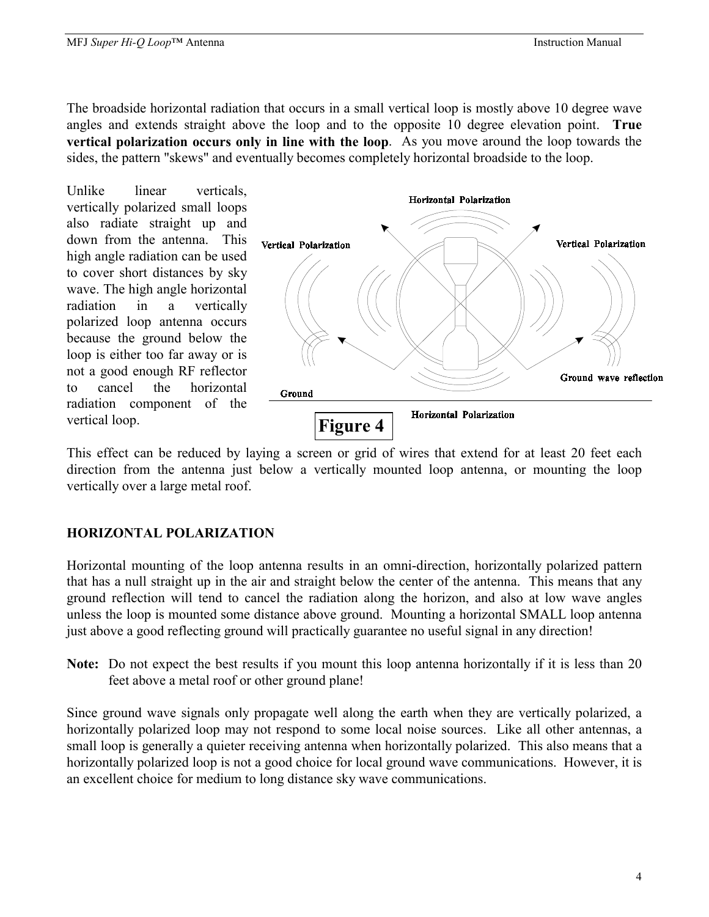The broadside horizontal radiation that occurs in a small vertical loop is mostly above 10 degree wave angles and extends straight above the loop and to the opposite 10 degree elevation point. **True vertical polarization occurs only in line with the loop**. As you move around the loop towards the sides, the pattern "skews" and eventually becomes completely horizontal broadside to the loop.

Unlike linear verticals, vertically polarized small loops also radiate straight up and down from the antenna. This high angle radiation can be used to cover short distances by sky wave. The high angle horizontal radiation in a vertically polarized loop antenna occurs because the ground below the loop is either too far away or is not a good enough RF reflector to cancel the horizontal radiation component of the vertical loop.



This effect can be reduced by laying a screen or grid of wires that extend for at least 20 feet each direction from the antenna just below a vertically mounted loop antenna, or mounting the loop vertically over a large metal roof.

### **HORIZONTAL POLARIZATION**

Horizontal mounting of the loop antenna results in an omni-direction, horizontally polarized pattern that has a null straight up in the air and straight below the center of the antenna. This means that any ground reflection will tend to cancel the radiation along the horizon, and also at low wave angles unless the loop is mounted some distance above ground. Mounting a horizontal SMALL loop antenna just above a good reflecting ground will practically guarantee no useful signal in any direction!

**Note:** Do not expect the best results if you mount this loop antenna horizontally if it is less than 20 feet above a metal roof or other ground plane!

Since ground wave signals only propagate well along the earth when they are vertically polarized, a horizontally polarized loop may not respond to some local noise sources. Like all other antennas, a small loop is generally a quieter receiving antenna when horizontally polarized. This also means that a horizontally polarized loop is not a good choice for local ground wave communications. However, it is an excellent choice for medium to long distance sky wave communications.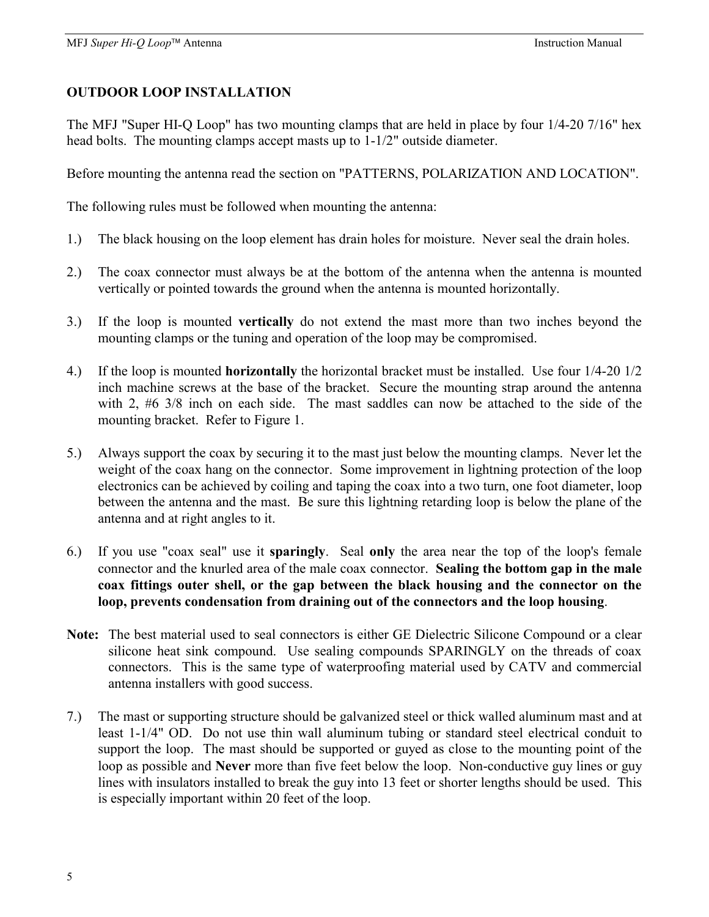### **OUTDOOR LOOP INSTALLATION**

The MFJ "Super HI-Q Loop" has two mounting clamps that are held in place by four 1/4-20 7/16" hex head bolts. The mounting clamps accept masts up to 1-1/2" outside diameter.

Before mounting the antenna read the section on "PATTERNS, POLARIZATION AND LOCATION".

The following rules must be followed when mounting the antenna:

- 1.) The black housing on the loop element has drain holes for moisture. Never seal the drain holes.
- 2.) The coax connector must always be at the bottom of the antenna when the antenna is mounted vertically or pointed towards the ground when the antenna is mounted horizontally.
- 3.) If the loop is mounted **vertically** do not extend the mast more than two inches beyond the mounting clamps or the tuning and operation of the loop may be compromised.
- 4.) If the loop is mounted **horizontally** the horizontal bracket must be installed. Use four 1/4-20 1/2 inch machine screws at the base of the bracket. Secure the mounting strap around the antenna with 2, #6 3/8 inch on each side. The mast saddles can now be attached to the side of the mounting bracket. Refer to Figure 1.
- 5.) Always support the coax by securing it to the mast just below the mounting clamps. Never let the weight of the coax hang on the connector. Some improvement in lightning protection of the loop electronics can be achieved by coiling and taping the coax into a two turn, one foot diameter, loop between the antenna and the mast. Be sure this lightning retarding loop is below the plane of the antenna and at right angles to it.
- 6.) If you use "coax seal" use it **sparingly**. Seal **only** the area near the top of the loop's female connector and the knurled area of the male coax connector. **Sealing the bottom gap in the male coax fittings outer shell, or the gap between the black housing and the connector on the loop, prevents condensation from draining out of the connectors and the loop housing**.
- **Note:** The best material used to seal connectors is either GE Dielectric Silicone Compound or a clear silicone heat sink compound. Use sealing compounds SPARINGLY on the threads of coax connectors. This is the same type of waterproofing material used by CATV and commercial antenna installers with good success.
- 7.) The mast or supporting structure should be galvanized steel or thick walled aluminum mast and at least 1-1/4" OD. Do not use thin wall aluminum tubing or standard steel electrical conduit to support the loop. The mast should be supported or guyed as close to the mounting point of the loop as possible and **Never** more than five feet below the loop. Non-conductive guy lines or guy lines with insulators installed to break the guy into 13 feet or shorter lengths should be used. This is especially important within 20 feet of the loop.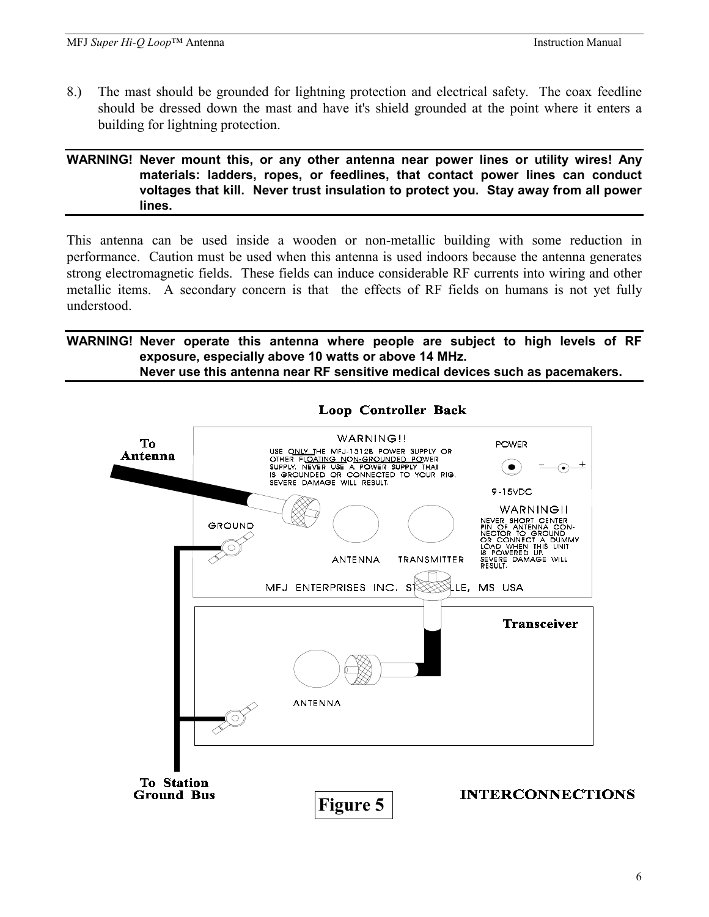8.) The mast should be grounded for lightning protection and electrical safety. The coax feedline should be dressed down the mast and have it's shield grounded at the point where it enters a building for lightning protection.

#### **WARNING! Never mount this, or any other antenna near power lines or utility wires! Any materials: ladders, ropes, or feedlines, that contact power lines can conduct voltages that kill. Never trust insulation to protect you. Stay away from all power lines.**

This antenna can be used inside a wooden or non-metallic building with some reduction in performance. Caution must be used when this antenna is used indoors because the antenna generates strong electromagnetic fields. These fields can induce considerable RF currents into wiring and other metallic items. A secondary concern is that the effects of RF fields on humans is not yet fully understood.

#### **WARNING! Never operate this antenna where people are subject to high levels of RF exposure, especially above 10 watts or above 14 MHz. Never use this antenna near RF sensitive medical devices such as pacemakers.**



### **Loop Controller Back**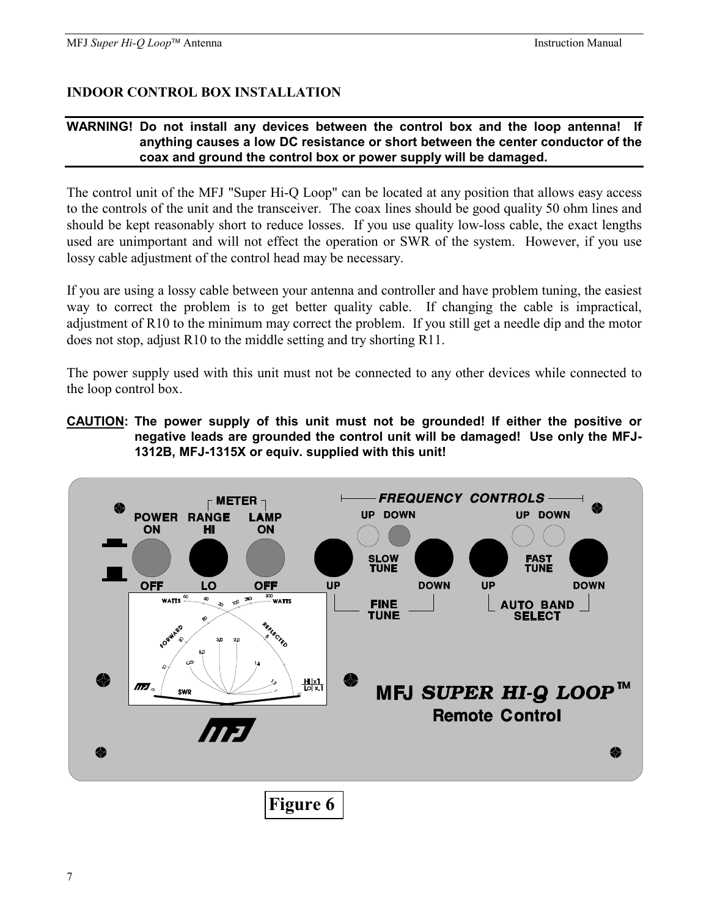# **INDOOR CONTROL BOX INSTALLATION**

#### **WARNING! Do not install any devices between the control box and the loop antenna! If anything causes a low DC resistance or short between the center conductor of the coax and ground the control box or power supply will be damaged.**

The control unit of the MFJ "Super Hi-Q Loop" can be located at any position that allows easy access to the controls of the unit and the transceiver. The coax lines should be good quality 50 ohm lines and should be kept reasonably short to reduce losses. If you use quality low-loss cable, the exact lengths used are unimportant and will not effect the operation or SWR of the system. However, if you use lossy cable adjustment of the control head may be necessary.

If you are using a lossy cable between your antenna and controller and have problem tuning, the easiest way to correct the problem is to get better quality cable. If changing the cable is impractical, adjustment of R10 to the minimum may correct the problem. If you still get a needle dip and the motor does not stop, adjust R10 to the middle setting and try shorting R11.

The power supply used with this unit must not be connected to any other devices while connected to the loop control box.

**CAUTION: The power supply of this unit must not be grounded! If either the positive or negative leads are grounded the control unit will be damaged! Use only the MFJ-1312B, MFJ-1315X or equiv. supplied with this unit!** 

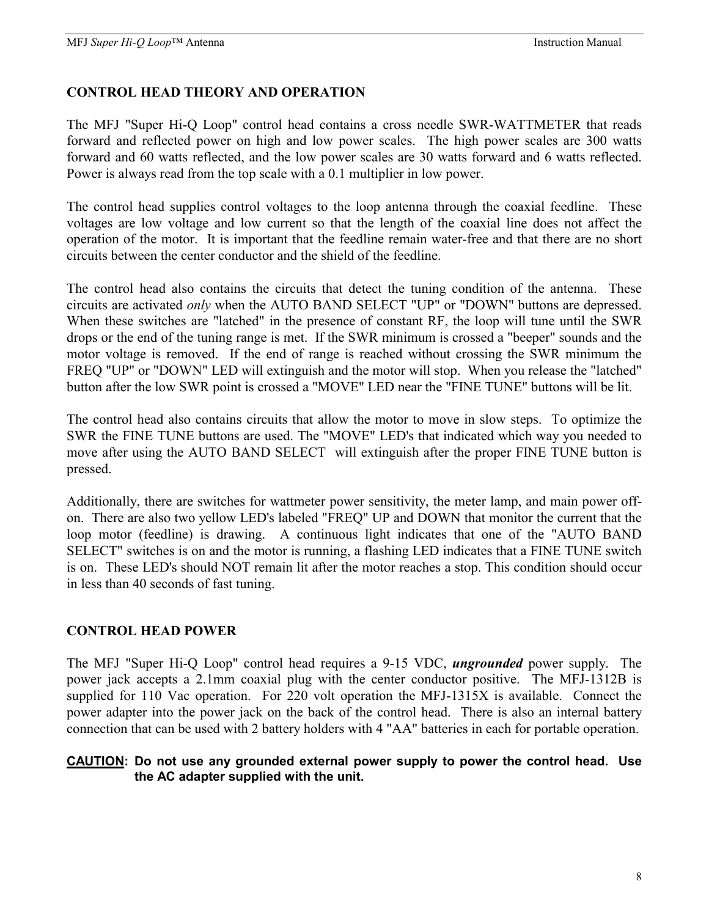#### **CONTROL HEAD THEORY AND OPERATION**

The MFJ "Super Hi-Q Loop" control head contains a cross needle SWR-WATTMETER that reads forward and reflected power on high and low power scales. The high power scales are 300 watts forward and 60 watts reflected, and the low power scales are 30 watts forward and 6 watts reflected. Power is always read from the top scale with a 0.1 multiplier in low power.

The control head supplies control voltages to the loop antenna through the coaxial feedline. These voltages are low voltage and low current so that the length of the coaxial line does not affect the operation of the motor. It is important that the feedline remain water-free and that there are no short circuits between the center conductor and the shield of the feedline.

The control head also contains the circuits that detect the tuning condition of the antenna. These circuits are activated *only* when the AUTO BAND SELECT "UP" or "DOWN" buttons are depressed. When these switches are "latched" in the presence of constant RF, the loop will tune until the SWR drops or the end of the tuning range is met. If the SWR minimum is crossed a "beeper" sounds and the motor voltage is removed. If the end of range is reached without crossing the SWR minimum the FREQ "UP" or "DOWN" LED will extinguish and the motor will stop. When you release the "latched" button after the low SWR point is crossed a "MOVE" LED near the "FINE TUNE" buttons will be lit.

The control head also contains circuits that allow the motor to move in slow steps. To optimize the SWR the FINE TUNE buttons are used. The "MOVE" LED's that indicated which way you needed to move after using the AUTO BAND SELECT will extinguish after the proper FINE TUNE button is pressed.

Additionally, there are switches for wattmeter power sensitivity, the meter lamp, and main power offon. There are also two yellow LED's labeled "FREQ" UP and DOWN that monitor the current that the loop motor (feedline) is drawing. A continuous light indicates that one of the "AUTO BAND SELECT" switches is on and the motor is running, a flashing LED indicates that a FINE TUNE switch is on. These LED's should NOT remain lit after the motor reaches a stop. This condition should occur in less than 40 seconds of fast tuning.

#### **CONTROL HEAD POWER**

The MFJ "Super Hi-Q Loop" control head requires a 9-15 VDC, *ungrounded* power supply. The power jack accepts a 2.1mm coaxial plug with the center conductor positive. The MFJ-1312B is supplied for 110 Vac operation. For 220 volt operation the MFJ-1315X is available. Connect the power adapter into the power jack on the back of the control head. There is also an internal battery connection that can be used with 2 battery holders with 4 "AA" batteries in each for portable operation.

#### **CAUTION: Do not use any grounded external power supply to power the control head. Use the AC adapter supplied with the unit.**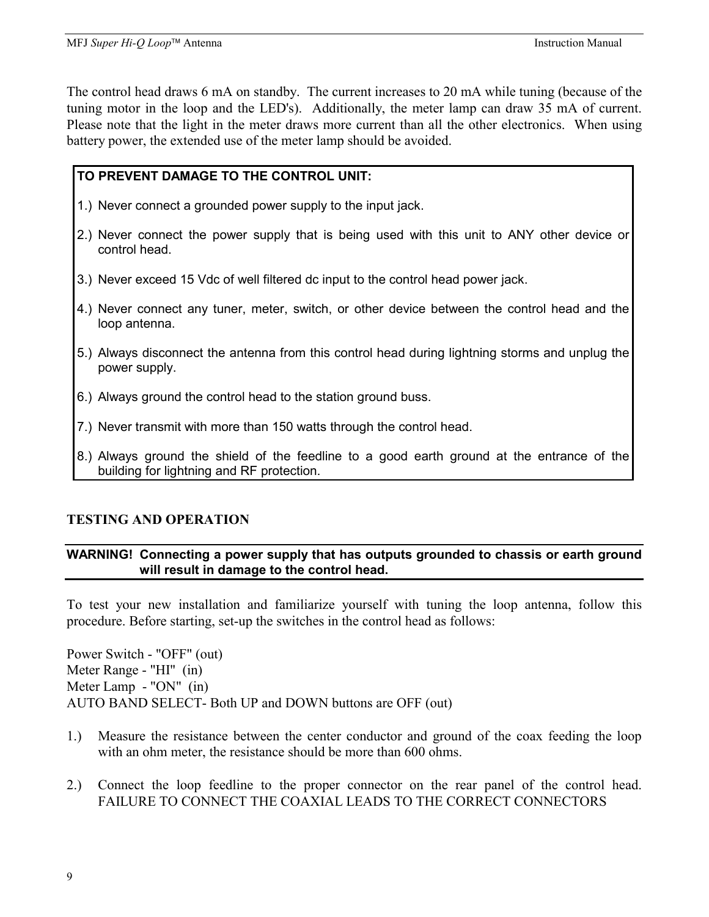The control head draws 6 mA on standby. The current increases to 20 mA while tuning (because of the tuning motor in the loop and the LED's). Additionally, the meter lamp can draw 35 mA of current. Please note that the light in the meter draws more current than all the other electronics. When using battery power, the extended use of the meter lamp should be avoided.

#### **TO PREVENT DAMAGE TO THE CONTROL UNIT:**

- 1.) Never connect a grounded power supply to the input jack.
- 2.) Never connect the power supply that is being used with this unit to ANY other device or control head.
- 3.) Never exceed 15 Vdc of well filtered dc input to the control head power jack.
- 4.) Never connect any tuner, meter, switch, or other device between the control head and the loop antenna.
- 5.) Always disconnect the antenna from this control head during lightning storms and unplug the power supply.
- 6.) Always ground the control head to the station ground buss.
- 7.) Never transmit with more than 150 watts through the control head.
- 8.) Always ground the shield of the feedline to a good earth ground at the entrance of the building for lightning and RF protection.

### **TESTING AND OPERATION**

#### **WARNING! Connecting a power supply that has outputs grounded to chassis or earth ground will result in damage to the control head.**

To test your new installation and familiarize yourself with tuning the loop antenna, follow this procedure. Before starting, set-up the switches in the control head as follows:

Power Switch - "OFF" (out) Meter Range - "HI" (in) Meter Lamp - "ON" (in) AUTO BAND SELECT- Both UP and DOWN buttons are OFF (out)

- 1.) Measure the resistance between the center conductor and ground of the coax feeding the loop with an ohm meter, the resistance should be more than 600 ohms.
- 2.) Connect the loop feedline to the proper connector on the rear panel of the control head. FAILURE TO CONNECT THE COAXIAL LEADS TO THE CORRECT CONNECTORS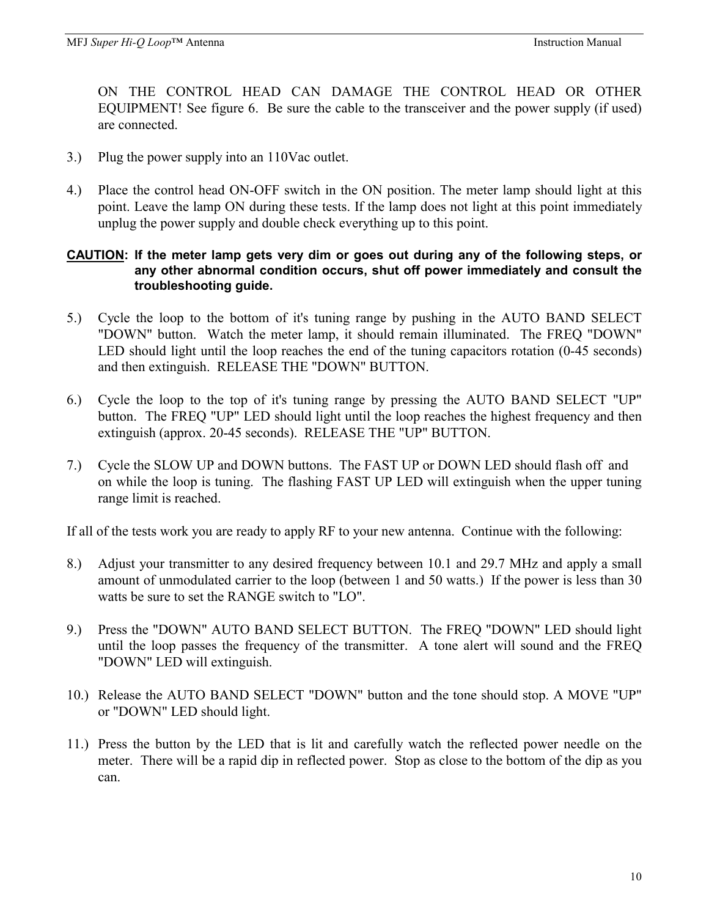ON THE CONTROL HEAD CAN DAMAGE THE CONTROL HEAD OR OTHER EQUIPMENT! See figure 6. Be sure the cable to the transceiver and the power supply (if used) are connected.

- 3.) Plug the power supply into an 110Vac outlet.
- 4.) Place the control head ON-OFF switch in the ON position. The meter lamp should light at this point. Leave the lamp ON during these tests. If the lamp does not light at this point immediately unplug the power supply and double check everything up to this point.

#### **CAUTION: If the meter lamp gets very dim or goes out during any of the following steps, or any other abnormal condition occurs, shut off power immediately and consult the troubleshooting guide.**

- 5.) Cycle the loop to the bottom of it's tuning range by pushing in the AUTO BAND SELECT "DOWN" button. Watch the meter lamp, it should remain illuminated. The FREQ "DOWN" LED should light until the loop reaches the end of the tuning capacitors rotation (0-45 seconds) and then extinguish. RELEASE THE "DOWN" BUTTON.
- 6.) Cycle the loop to the top of it's tuning range by pressing the AUTO BAND SELECT "UP" button. The FREQ "UP" LED should light until the loop reaches the highest frequency and then extinguish (approx. 20-45 seconds). RELEASE THE "UP" BUTTON.
- 7.) Cycle the SLOW UP and DOWN buttons. The FAST UP or DOWN LED should flash off and on while the loop is tuning. The flashing FAST UP LED will extinguish when the upper tuning range limit is reached.

If all of the tests work you are ready to apply RF to your new antenna. Continue with the following:

- 8.) Adjust your transmitter to any desired frequency between 10.1 and 29.7 MHz and apply a small amount of unmodulated carrier to the loop (between 1 and 50 watts.) If the power is less than 30 watts be sure to set the RANGE switch to "LO".
- 9.) Press the "DOWN" AUTO BAND SELECT BUTTON. The FREQ "DOWN" LED should light until the loop passes the frequency of the transmitter. A tone alert will sound and the FREQ "DOWN" LED will extinguish.
- 10.) Release the AUTO BAND SELECT "DOWN" button and the tone should stop. A MOVE "UP" or "DOWN" LED should light.
- 11.) Press the button by the LED that is lit and carefully watch the reflected power needle on the meter. There will be a rapid dip in reflected power. Stop as close to the bottom of the dip as you can.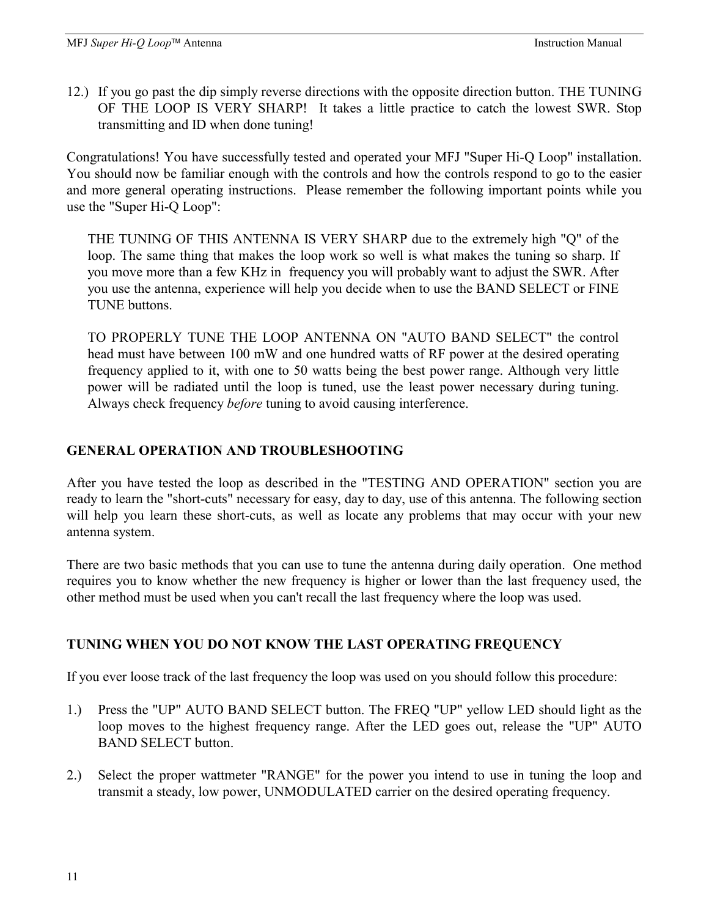12.) If you go past the dip simply reverse directions with the opposite direction button. THE TUNING OF THE LOOP IS VERY SHARP! It takes a little practice to catch the lowest SWR. Stop transmitting and ID when done tuning!

Congratulations! You have successfully tested and operated your MFJ "Super Hi-Q Loop" installation. You should now be familiar enough with the controls and how the controls respond to go to the easier and more general operating instructions. Please remember the following important points while you use the "Super Hi-Q Loop":

THE TUNING OF THIS ANTENNA IS VERY SHARP due to the extremely high "Q" of the loop. The same thing that makes the loop work so well is what makes the tuning so sharp. If you move more than a few KHz in frequency you will probably want to adjust the SWR. After you use the antenna, experience will help you decide when to use the BAND SELECT or FINE TUNE buttons.

TO PROPERLY TUNE THE LOOP ANTENNA ON "AUTO BAND SELECT" the control head must have between 100 mW and one hundred watts of RF power at the desired operating frequency applied to it, with one to 50 watts being the best power range. Although very little power will be radiated until the loop is tuned, use the least power necessary during tuning. Always check frequency *before* tuning to avoid causing interference.

# **GENERAL OPERATION AND TROUBLESHOOTING**

After you have tested the loop as described in the "TESTING AND OPERATION" section you are ready to learn the "short-cuts" necessary for easy, day to day, use of this antenna. The following section will help you learn these short-cuts, as well as locate any problems that may occur with your new antenna system.

There are two basic methods that you can use to tune the antenna during daily operation. One method requires you to know whether the new frequency is higher or lower than the last frequency used, the other method must be used when you can't recall the last frequency where the loop was used.

# **TUNING WHEN YOU DO NOT KNOW THE LAST OPERATING FREQUENCY**

If you ever loose track of the last frequency the loop was used on you should follow this procedure:

- 1.) Press the "UP" AUTO BAND SELECT button. The FREQ "UP" yellow LED should light as the loop moves to the highest frequency range. After the LED goes out, release the "UP" AUTO BAND SELECT button.
- 2.) Select the proper wattmeter "RANGE" for the power you intend to use in tuning the loop and transmit a steady, low power, UNMODULATED carrier on the desired operating frequency.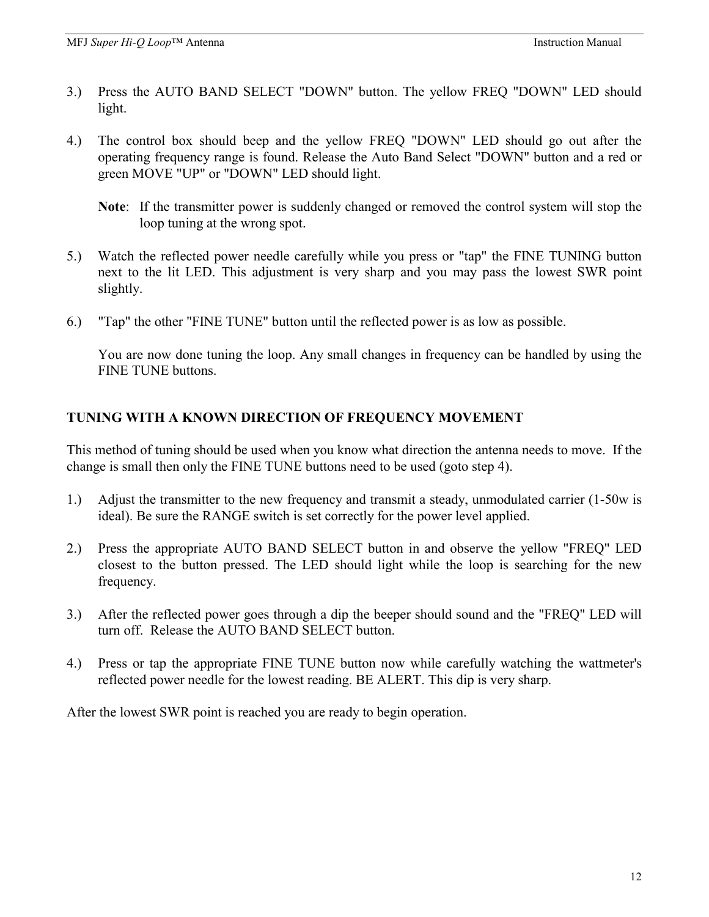- 3.) Press the AUTO BAND SELECT "DOWN" button. The yellow FREQ "DOWN" LED should light.
- 4.) The control box should beep and the yellow FREQ "DOWN" LED should go out after the operating frequency range is found. Release the Auto Band Select "DOWN" button and a red or green MOVE "UP" or "DOWN" LED should light.
	- **Note**: If the transmitter power is suddenly changed or removed the control system will stop the loop tuning at the wrong spot.
- 5.) Watch the reflected power needle carefully while you press or "tap" the FINE TUNING button next to the lit LED. This adjustment is very sharp and you may pass the lowest SWR point slightly.
- 6.) "Tap" the other "FINE TUNE" button until the reflected power is as low as possible.

 You are now done tuning the loop. Any small changes in frequency can be handled by using the FINE TUNE buttons.

# **TUNING WITH A KNOWN DIRECTION OF FREQUENCY MOVEMENT**

This method of tuning should be used when you know what direction the antenna needs to move. If the change is small then only the FINE TUNE buttons need to be used (goto step 4).

- 1.) Adjust the transmitter to the new frequency and transmit a steady, unmodulated carrier (1-50w is ideal). Be sure the RANGE switch is set correctly for the power level applied.
- 2.) Press the appropriate AUTO BAND SELECT button in and observe the yellow "FREQ" LED closest to the button pressed. The LED should light while the loop is searching for the new frequency.
- 3.) After the reflected power goes through a dip the beeper should sound and the "FREQ" LED will turn off. Release the AUTO BAND SELECT button.
- 4.) Press or tap the appropriate FINE TUNE button now while carefully watching the wattmeter's reflected power needle for the lowest reading. BE ALERT. This dip is very sharp.

After the lowest SWR point is reached you are ready to begin operation.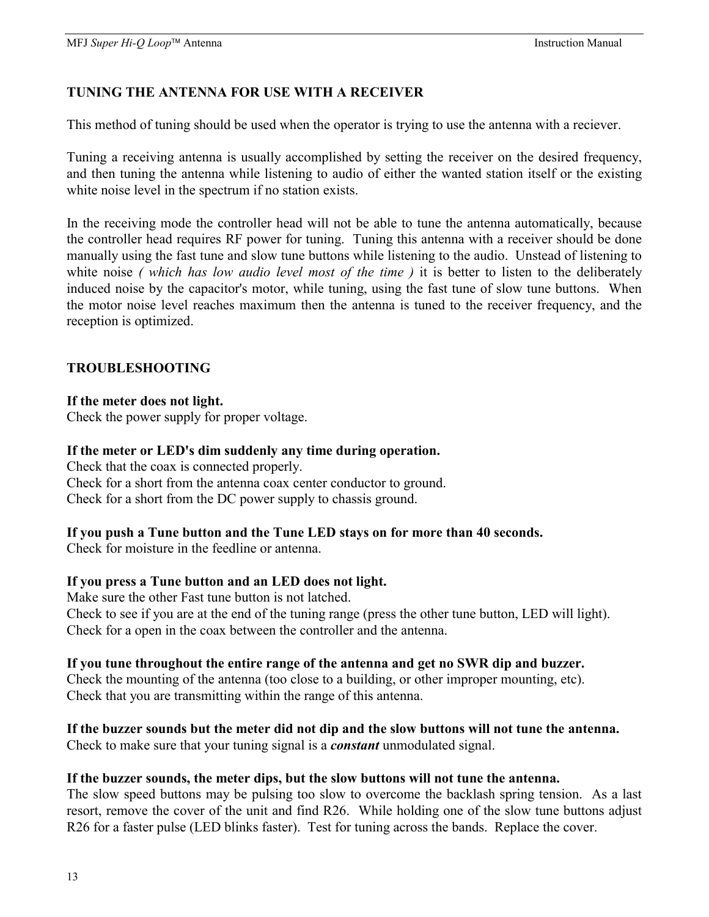# **TUNING THE ANTENNA FOR USE WITH A RECEIVER**

This method of tuning should be used when the operator is trying to use the antenna with a reciever.

Tuning a receiving antenna is usually accomplished by setting the receiver on the desired frequency, and then tuning the antenna while listening to audio of either the wanted station itself or the existing white noise level in the spectrum if no station exists.

In the receiving mode the controller head will not be able to tune the antenna automatically, because the controller head requires RF power for tuning. Tuning this antenna with a receiver should be done manually using the fast tune and slow tune buttons while listening to the audio. Unstead of listening to white noise *( which has low audio level most of the time )* it is better to listen to the deliberately induced noise by the capacitor's motor, while tuning, using the fast tune of slow tune buttons. When the motor noise level reaches maximum then the antenna is tuned to the receiver frequency, and the reception is optimized.

# **TROUBLESHOOTING**

#### **If the meter does not light.**

Check the power supply for proper voltage.

#### **If the meter or LED's dim suddenly any time during operation.**

Check that the coax is connected properly. Check for a short from the antenna coax center conductor to ground. Check for a short from the DC power supply to chassis ground.

### **If you push a Tune button and the Tune LED stays on for more than 40 seconds.**

Check for moisture in the feedline or antenna.

### **If you press a Tune button and an LED does not light.**

Make sure the other Fast tune button is not latched. Check to see if you are at the end of the tuning range (press the other tune button, LED will light). Check for a open in the coax between the controller and the antenna.

#### **If you tune throughout the entire range of the antenna and get no SWR dip and buzzer.**

Check the mounting of the antenna (too close to a building, or other improper mounting, etc). Check that you are transmitting within the range of this antenna.

# **If the buzzer sounds but the meter did not dip and the slow buttons will not tune the antenna.**

Check to make sure that your tuning signal is a *constant* unmodulated signal.

#### **If the buzzer sounds, the meter dips, but the slow buttons will not tune the antenna.**

The slow speed buttons may be pulsing too slow to overcome the backlash spring tension. As a last resort, remove the cover of the unit and find R26. While holding one of the slow tune buttons adjust R26 for a faster pulse (LED blinks faster). Test for tuning across the bands. Replace the cover.